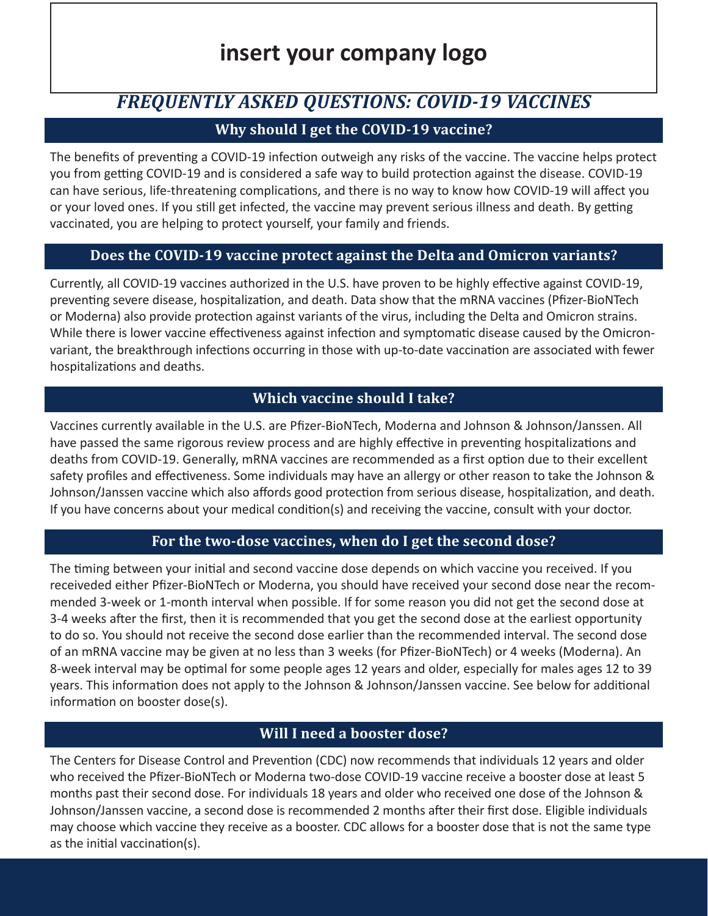# **insert your company logo**

# *FREQUENTLY ASKED QUESTIONS: COVID-19 VACCINES*

# **Why should I get the COVID-19 vaccine?**

The benefits of preventing a COVID-19 infection outweigh any risks of the vaccine. The vaccine helps protect you from getting COVID-19 and is considered a safe way to build protection against the disease. COVID-19 can have serious, life-threatening complications, and there is no way to know how COVID-19 will affect you or your loved ones. If you still get infected, the vaccine may prevent serious illness and death. By getting vaccinated, you are helping to protect yourself, your family and friends.

# **Does the COVID-19 vaccine protect against the Delta and Omicron variants?**

Currently, all COVID-19 vaccines authorized in the U.S. have proven to be highly effective against COVID-19, preventing severe disease, hospitalization, and death. Data show that the mRNA vaccines (Pfizer-BioNTech or Moderna) also provide protection against variants of the virus, including the Delta and Omicron strains. While there is lower vaccine effectiveness against infection and symptomatic disease caused by the Omicronvariant, the breakthrough infections occurring in those with up-to-date vaccination are associated with fewer hospitalizations and deaths.

# **Which vaccine should I take?**

Vaccines currently available in the U.S. are Pfizer-BioNTech, Moderna and Johnson & Johnson/Janssen. All have passed the same rigorous review process and are highly effective in preventing hospitalizations and deaths from COVID-19. Generally, mRNA vaccines are recommended as a first option due to their excellent safety profiles and effectiveness. Some individuals may have an allergy or other reason to take the Johnson & Johnson/Janssen vaccine which also affords good protection from serious disease, hospitalization, and death. If you have concerns about your medical condition(s) and receiving the vaccine, consult with your doctor.

# **For the two-dose vaccines, when do I get the second dose?**

The timing between your initial and second vaccine dose depends on which vaccine you received. If you receiveded either Pfizer-BioNTech or Moderna, you should have received your second dose near the recommended 3-week or 1-month interval when possible. If for some reason you did not get the second dose at 3-4 weeks after the first, then it is recommended that you get the second dose at the earliest opportunity to do so. You should not receive the second dose earlier than the recommended interval. The second dose of an mRNA vaccine may be given at no less than 3 weeks (for Pfizer-BioNTech) or 4 weeks (Moderna). An 8-week interval may be optimal for some people ages 12 years and older, especially for males ages 12 to 39 years. This information does not apply to the Johnson & Johnson/Janssen vaccine. See below for additional information on booster dose(s).

# **Will I need a booster dose?**

The Centers for Disease Control and Prevention (CDC) now recommends that individuals 12 years and older who received the Pfizer-BioNTech or Moderna two-dose COVID-19 vaccine receive a booster dose at least 5 months past their second dose. For individuals 18 years and older who received one dose of the Johnson & Johnson/Janssen vaccine, a second dose is recommended 2 months after their first dose. Eligible individuals may choose which vaccine they receive as a booster. CDC allows for a booster dose that is not the same type as the initial vaccination(s).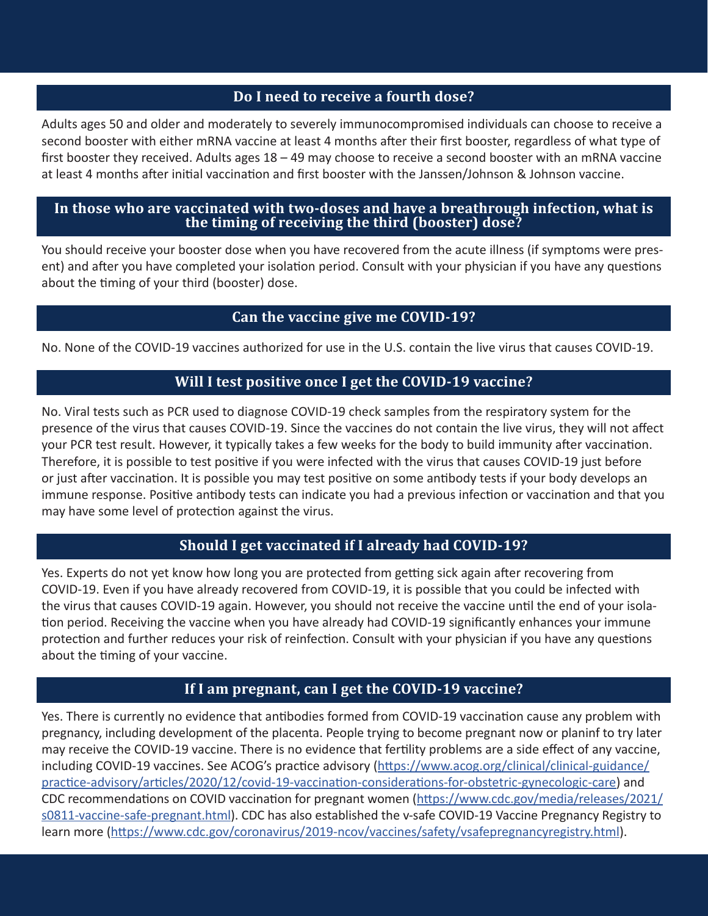#### **Do I need to receive a fourth dose?**

Adults ages 50 and older and moderately to severely immunocompromised individuals can choose to receive a second booster with either mRNA vaccine at least 4 months after their first booster, regardless of what type of first booster they received. Adults ages 18 – 49 may choose to receive a second booster with an mRNA vaccine at least 4 months after initial vaccination and first booster with the Janssen/Johnson & Johnson vaccine.

#### **In those who are vaccinated with two-doses and have a breathrough infection, what is the timing of receiving the third (booster) dose?**

You should receive your booster dose when you have recovered from the acute illness (if symptoms were present) and after you have completed your isolation period. Consult with your physician if you have any questions about the timing of your third (booster) dose.

#### **Can the vaccine give me COVID-19?**

No. None of the COVID-19 vaccines authorized for use in the U.S. contain the live virus that causes COVID-19.

#### **Will I test positive once I get the COVID-19 vaccine?**

No. Viral tests such as PCR used to diagnose COVID-19 check samples from the respiratory system for the presence of the virus that causes COVID-19. Since the vaccines do not contain the live virus, they will not affect your PCR test result. However, it typically takes a few weeks for the body to build immunity after vaccination. Therefore, it is possible to test positive if you were infected with the virus that causes COVID-19 just before or just after vaccination. It is possible you may test positive on some antibody tests if your body develops an immune response. Positive antibody tests can indicate you had a previous infection or vaccination and that you may have some level of protection against the virus.

# **Should I get vaccinated if I already had COVID-19?**

Yes. Experts do not yet know how long you are protected from getting sick again after recovering from COVID-19. Even if you have already recovered from COVID-19, it is possible that you could be infected with the virus that causes COVID-19 again. However, you should not receive the vaccine until the end of your isolation period. Receiving the vaccine when you have already had COVID-19 significantly enhances your immune protection and further reduces your risk of reinfection. Consult with your physician if you have any questions about the timing of your vaccine.

### **If I am pregnant, can I get the COVID-19 vaccine?**

Yes. There is currently no evidence that antibodies formed from COVID-19 vaccination cause any problem with pregnancy, including development of the placenta. People trying to become pregnant now or planinf to try later may receive the COVID-19 vaccine. There is no evidence that fertility problems are a side effect of any vaccine, including COVID-19 vaccines. See ACOG's practice advisory ([https://www.acog.org/clinical/clinical-guidance/](https://www.acog.org/clinical/clinical-guidance/practice-advisory/articles/2020/12/covid-19-vaccination-considerations-for-obstetric-gynecologic-care) [practice-advisory/articles/2020/12/covid-19-vaccination-considerations-for-obstetric-gynecologic-care](https://www.acog.org/clinical/clinical-guidance/practice-advisory/articles/2020/12/covid-19-vaccination-considerations-for-obstetric-gynecologic-care)) and CDC recommendations on COVID vaccination for pregnant women ([https://www.cdc.gov/media/releases/2021/](https://www.cdc.gov/media/releases/2021/s0811-vaccine-safe-pregnant.html) [s0811-vaccine-safe-pregnant.html\)](https://www.cdc.gov/media/releases/2021/s0811-vaccine-safe-pregnant.html). CDC has also established the v-safe COVID-19 Vaccine Pregnancy Registry to learn more ([https://www.cdc.gov/coronavirus/2019-ncov/vaccines/safety/vsafepregnancyregistry.html\)](https://www.cdc.gov/coronavirus/2019-ncov/vaccines/safety/vsafepregnancyregistry.html).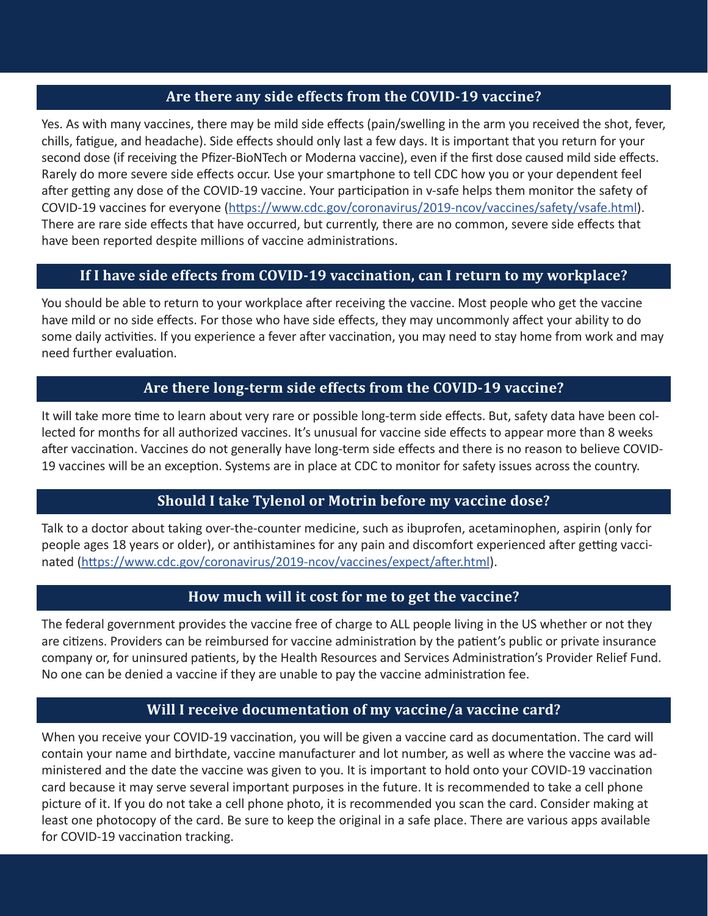#### **Are there any side effects from the COVID-19 vaccine?**

Yes. As with many vaccines, there may be mild side effects (pain/swelling in the arm you received the shot, fever, chills, fatigue, and headache). Side effects should only last a few days. It is important that you return for your second dose (if receiving the Pfizer-BioNTech or Moderna vaccine), even if the first dose caused mild side effects. Rarely do more severe side effects occur. Use your smartphone to tell CDC how you or your dependent feel after getting any dose of the COVID-19 vaccine. Your participation in v-safe helps them monitor the safety of COVID-19 vaccines for everyone (<https://www.cdc.gov/coronavirus/2019-ncov/vaccines/safety/vsafe.html>). There are rare side effects that have occurred, but currently, there are no common, severe side effects that have been reported despite millions of vaccine administrations.

#### **If I have side effects from COVID-19 vaccination, can I return to my workplace?**

You should be able to return to your workplace after receiving the vaccine. Most people who get the vaccine have mild or no side effects. For those who have side effects, they may uncommonly affect your ability to do some daily activities. If you experience a fever after vaccination, you may need to stay home from work and may need further evaluation.

#### **Are there long-term side effects from the COVID-19 vaccine?**

It will take more time to learn about very rare or possible long-term side effects. But, safety data have been collected for months for all authorized vaccines. It's unusual for vaccine side effects to appear more than 8 weeks after vaccination. Vaccines do not generally have long-term side effects and there is no reason to believe COVID-19 vaccines will be an exception. Systems are in place at CDC to monitor for safety issues across the country.

#### **Should I take Tylenol or Motrin before my vaccine dose?**

Talk to a doctor about taking over-the-counter medicine, such as ibuprofen, acetaminophen, aspirin (only for people ages 18 years or older), or antihistamines for any pain and discomfort experienced after getting vaccinated [\(https://www.cdc.gov/coronavirus/2019-ncov/vaccines/expect/after.html\)](https://www.cdc.gov/coronavirus/2019-ncov/vaccines/expect/after.html).

#### **How much will it cost for me to get the vaccine?**

The federal government provides the vaccine free of charge to ALL people living in the US whether or not they are citizens. Providers can be reimbursed for vaccine administration by the patient's public or private insurance company or, for uninsured patients, by the Health Resources and Services Administration's Provider Relief Fund. No one can be denied a vaccine if they are unable to pay the vaccine administration fee.

#### **Will I receive documentation of my vaccine/a vaccine card?**

When you receive your COVID-19 vaccination, you will be given a vaccine card as documentation. The card will contain your name and birthdate, vaccine manufacturer and lot number, as well as where the vaccine was administered and the date the vaccine was given to you. It is important to hold onto your COVID-19 vaccination card because it may serve several important purposes in the future. It is recommended to take a cell phone picture of it. If you do not take a cell phone photo, it is recommended you scan the card. Consider making at least one photocopy of the card. Be sure to keep the original in a safe place. There are various apps available for COVID-19 vaccination tracking.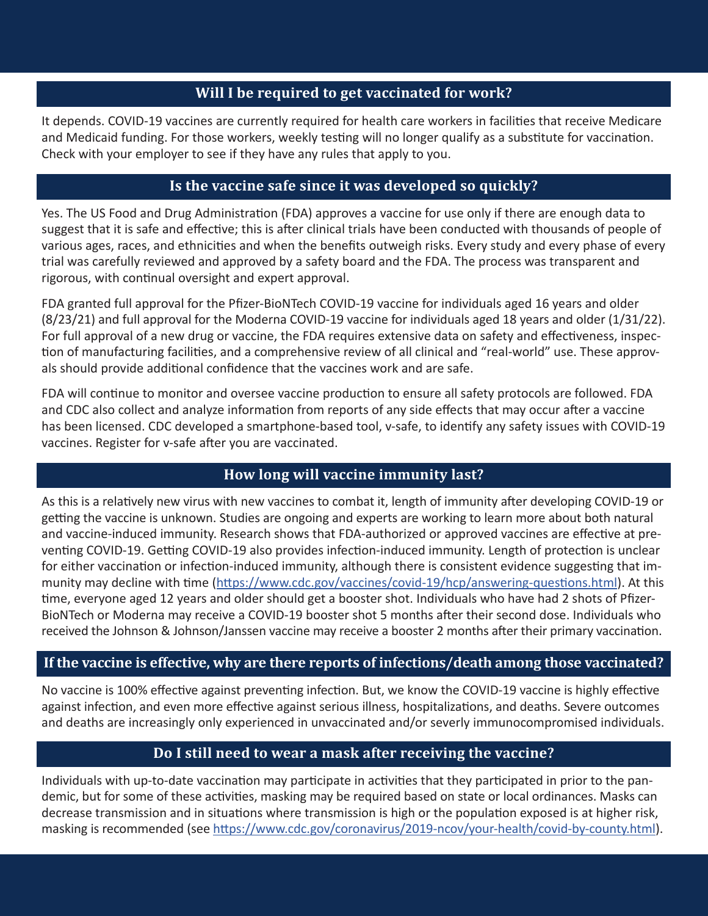#### **Will I be required to get vaccinated for work?**

It depends. COVID-19 vaccines are currently required for health care workers in facilities that receive Medicare and Medicaid funding. For those workers, weekly testing will no longer qualify as a substitute for vaccination. Check with your employer to see if they have any rules that apply to you.

#### **Is the vaccine safe since it was developed so quickly?**

Yes. The US Food and Drug Administration (FDA) approves a vaccine for use only if there are enough data to suggest that it is safe and effective; this is after clinical trials have been conducted with thousands of people of various ages, races, and ethnicities and when the benefits outweigh risks. Every study and every phase of every trial was carefully reviewed and approved by a safety board and the FDA. The process was transparent and rigorous, with continual oversight and expert approval.

FDA granted full approval for the Pfizer-BioNTech COVID-19 vaccine for individuals aged 16 years and older (8/23/21) and full approval for the Moderna COVID-19 vaccine for individuals aged 18 years and older (1/31/22). For full approval of a new drug or vaccine, the FDA requires extensive data on safety and effectiveness, inspection of manufacturing facilities, and a comprehensive review of all clinical and "real-world" use. These approvals should provide additional confidence that the vaccines work and are safe.

FDA will continue to monitor and oversee vaccine production to ensure all safety protocols are followed. FDA and CDC also collect and analyze information from reports of any side effects that may occur after a vaccine has been licensed. CDC developed a smartphone-based tool, v-safe, to identify any safety issues with COVID-19 vaccines. Register for v-safe after you are vaccinated.

#### **How long will vaccine immunity last?**

As this is a relatively new virus with new vaccines to combat it, length of immunity after developing COVID-19 or getting the vaccine is unknown. Studies are ongoing and experts are working to learn more about both natural and vaccine-induced immunity. Research shows that FDA-authorized or approved vaccines are effective at preventing COVID-19. Getting COVID-19 also provides infection-induced immunity. Length of protection is unclear for either vaccination or infection-induced immunity, although there is consistent evidence suggesting that immunity may decline with time [\(https://www.cdc.gov/vaccines/covid-19/hcp/answering-questions.html](https://www.cdc.gov/vaccines/covid-19/hcp/answering-questions.html)). At this time, everyone aged 12 years and older should get a booster shot. Individuals who have had 2 shots of Pfizer-BioNTech or Moderna may receive a COVID-19 booster shot 5 months after their second dose. Individuals who received the Johnson & Johnson/Janssen vaccine may receive a booster 2 months after their primary vaccination.

#### **If the vaccine is effective, why are there reports of infections/death among those vaccinated?**

No vaccine is 100% effective against preventing infection. But, we know the COVID-19 vaccine is highly effective against infection, and even more effective against serious illness, hospitalizations, and deaths. Severe outcomes and deaths are increasingly only experienced in unvaccinated and/or severly immunocompromised individuals.

#### **Do I still need to wear a mask after receiving the vaccine?**

Individuals with up-to-date vaccination may participate in activities that they participated in prior to the pandemic, but for some of these activities, masking may be required based on state or local ordinances. Masks can decrease transmission and in situations where transmission is high or the population exposed is at higher risk, masking is recommended (see<https://www.cdc.gov/coronavirus/2019-ncov/your-health/covid-by-county.html>).